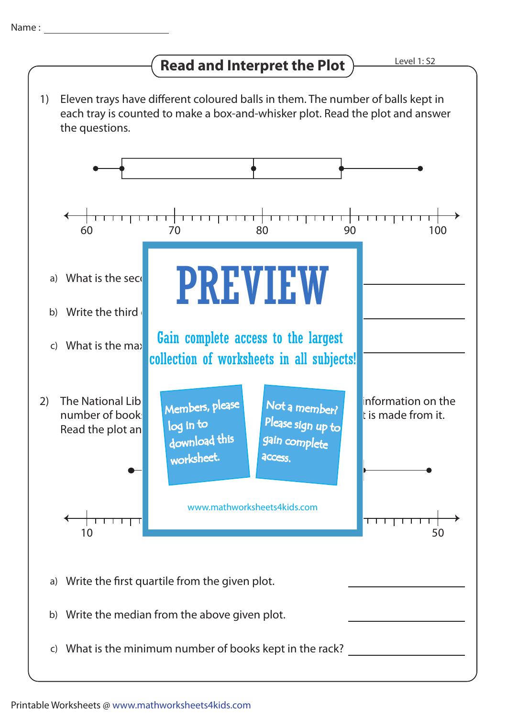